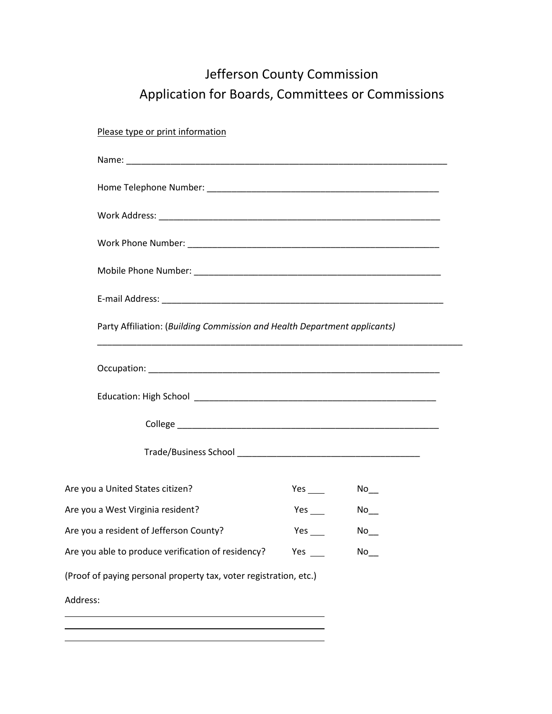## Jefferson County Commission Application for Boards, Committees or Commissions

Please type or print information

| Party Affiliation: (Building Commission and Health Department applicants) |            |                    |  |
|---------------------------------------------------------------------------|------------|--------------------|--|
|                                                                           |            |                    |  |
|                                                                           |            |                    |  |
|                                                                           |            |                    |  |
|                                                                           |            |                    |  |
| Are you a United States citizen?                                          |            | $No$ <sub>__</sub> |  |
| Are you a West Virginia resident?                                         | Yes $\_\_$ | No                 |  |
| Are you a resident of Jefferson County?                                   | Yes $\_\_$ | $No$ <sub>__</sub> |  |
| Are you able to produce verification of residency?                        | Yes $\_\_$ | $No$ <sub>__</sub> |  |
| (Proof of paying personal property tax, voter registration, etc.)         |            |                    |  |
| Address:                                                                  |            |                    |  |
|                                                                           |            |                    |  |